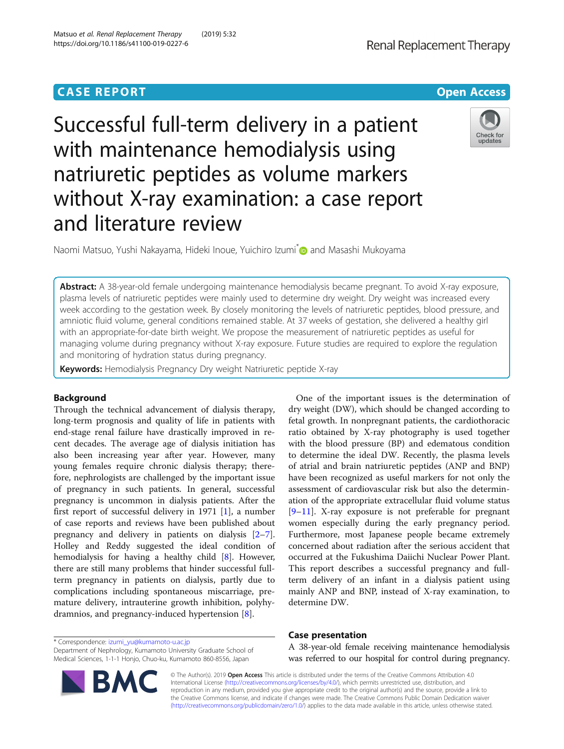# **CASE REPORT CASE REPORT CASE REPORT**

Successful full-term delivery in a patient with maintenance hemodialysis using natriuretic peptides as volume markers without X-ray examination: a case report and literature review

Naomi Matsuo, Yushi Nakayama, Hideki Inoue, Yuichiro Izumi<sup>\*</sup> and Masashi Mukoyama

Abstract: A 38-year-old female undergoing maintenance hemodialysis became pregnant. To avoid X-ray exposure, plasma levels of natriuretic peptides were mainly used to determine dry weight. Dry weight was increased every week according to the gestation week. By closely monitoring the levels of natriuretic peptides, blood pressure, and amniotic fluid volume, general conditions remained stable. At 37 weeks of gestation, she delivered a healthy girl with an appropriate-for-date birth weight. We propose the measurement of natriuretic peptides as useful for managing volume during pregnancy without X-ray exposure. Future studies are required to explore the regulation and monitoring of hydration status during pregnancy.

Keywords: Hemodialysis Pregnancy Dry weight Natriuretic peptide X-ray

# Background

Through the technical advancement of dialysis therapy, long-term prognosis and quality of life in patients with end-stage renal failure have drastically improved in recent decades. The average age of dialysis initiation has also been increasing year after year. However, many young females require chronic dialysis therapy; therefore, nephrologists are challenged by the important issue of pregnancy in such patients. In general, successful pregnancy is uncommon in dialysis patients. After the first report of successful delivery in 1971 [\[1\]](#page-4-0), a number of case reports and reviews have been published about pregnancy and delivery in patients on dialysis [\[2](#page-4-0)–[7](#page-5-0)]. Holley and Reddy suggested the ideal condition of hemodialysis for having a healthy child [[8\]](#page-5-0). However, there are still many problems that hinder successful fullterm pregnancy in patients on dialysis, partly due to complications including spontaneous miscarriage, premature delivery, intrauterine growth inhibition, polyhydramnios, and pregnancy-induced hypertension [\[8](#page-5-0)].

\* Correspondence: [izumi\\_yu@kumamoto-u.ac.jp](mailto:izumi_yu@kumamoto-u.ac.jp)

Department of Nephrology, Kumamoto University Graduate School of Medical Sciences, 1-1-1 Honjo, Chuo-ku, Kumamoto 860-8556, Japan

> © The Author(s). 2019 Open Access This article is distributed under the terms of the Creative Commons Attribution 4.0 International License [\(http://creativecommons.org/licenses/by/4.0/](http://creativecommons.org/licenses/by/4.0/)), which permits unrestricted use, distribution, and reproduction in any medium, provided you give appropriate credit to the original author(s) and the source, provide a link to the Creative Commons license, and indicate if changes were made. The Creative Commons Public Domain Dedication waiver [\(http://creativecommons.org/publicdomain/zero/1.0/](http://creativecommons.org/publicdomain/zero/1.0/)) applies to the data made available in this article, unless otherwise stated.

## Case presentation

determine DW.

A 38-year-old female receiving maintenance hemodialysis was referred to our hospital for control during pregnancy.

One of the important issues is the determination of dry weight (DW), which should be changed according to fetal growth. In nonpregnant patients, the cardiothoracic ratio obtained by X-ray photography is used together with the blood pressure (BP) and edematous condition to determine the ideal DW. Recently, the plasma levels of atrial and brain natriuretic peptides (ANP and BNP) have been recognized as useful markers for not only the assessment of cardiovascular risk but also the determination of the appropriate extracellular fluid volume status [[9](#page-5-0)–[11\]](#page-5-0). X-ray exposure is not preferable for pregnant women especially during the early pregnancy period. Furthermore, most Japanese people became extremely concerned about radiation after the serious accident that occurred at the Fukushima Daiichi Nuclear Power Plant. This report describes a successful pregnancy and fullterm delivery of an infant in a dialysis patient using mainly ANP and BNP, instead of X-ray examination, to

BA

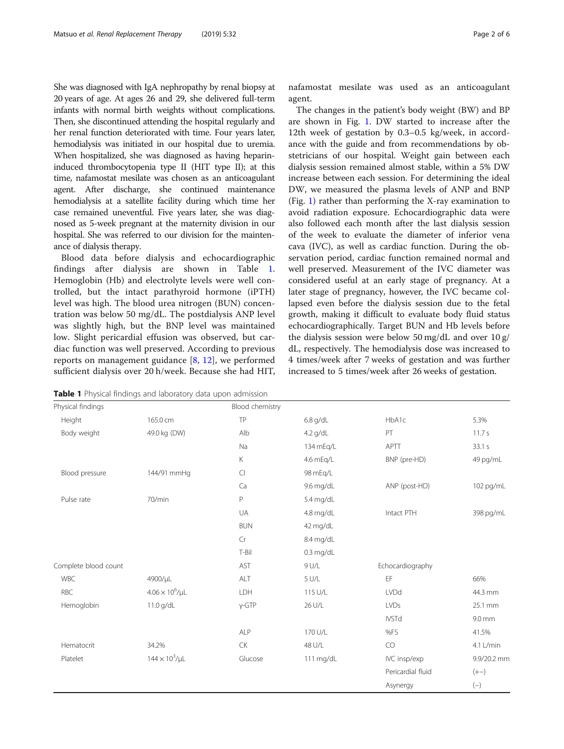She was diagnosed with IgA nephropathy by renal biopsy at 20 years of age. At ages 26 and 29, she delivered full-term infants with normal birth weights without complications. Then, she discontinued attending the hospital regularly and her renal function deteriorated with time. Four years later, hemodialysis was initiated in our hospital due to uremia. When hospitalized, she was diagnosed as having heparininduced thrombocytopenia type II (HIT type II); at this time, nafamostat mesilate was chosen as an anticoagulant agent. After discharge, she continued maintenance hemodialysis at a satellite facility during which time her case remained uneventful. Five years later, she was diagnosed as 5-week pregnant at the maternity division in our hospital. She was referred to our division for the maintenance of dialysis therapy.

Blood data before dialysis and echocardiographic findings after dialysis are shown in Table 1. Hemoglobin (Hb) and electrolyte levels were well controlled, but the intact parathyroid hormone (iPTH) level was high. The blood urea nitrogen (BUN) concentration was below 50 mg/dL. The postdialysis ANP level was slightly high, but the BNP level was maintained low. Slight pericardial effusion was observed, but cardiac function was well preserved. According to previous reports on management guidance  $[8, 12]$  $[8, 12]$  $[8, 12]$  $[8, 12]$ , we performed sufficient dialysis over 20 h/week. Because she had HIT,

|  |  |  |  | <b>Table 1</b> Physical findings and laboratory data upon admission |
|--|--|--|--|---------------------------------------------------------------------|
|--|--|--|--|---------------------------------------------------------------------|

nafamostat mesilate was used as an anticoagulant agent.

The changes in the patient's body weight (BW) and BP are shown in Fig. [1](#page-2-0). DW started to increase after the 12th week of gestation by 0.3–0.5 kg/week, in accordance with the guide and from recommendations by obstetricians of our hospital. Weight gain between each dialysis session remained almost stable, within a 5% DW increase between each session. For determining the ideal DW, we measured the plasma levels of ANP and BNP (Fig. [1](#page-2-0)) rather than performing the X-ray examination to avoid radiation exposure. Echocardiographic data were also followed each month after the last dialysis session of the week to evaluate the diameter of inferior vena cava (IVC), as well as cardiac function. During the observation period, cardiac function remained normal and well preserved. Measurement of the IVC diameter was considered useful at an early stage of pregnancy. At a later stage of pregnancy, however, the IVC became collapsed even before the dialysis session due to the fetal growth, making it difficult to evaluate body fluid status echocardiographically. Target BUN and Hb levels before the dialysis session were below 50 mg/dL and over 10 g/ dL, respectively. The hemodialysis dose was increased to 4 times/week after 7 weeks of gestation and was further increased to 5 times/week after 26 weeks of gestation.

| Physical findings    |                             | Blood chemistry |             |                   |             |
|----------------------|-----------------------------|-----------------|-------------|-------------------|-------------|
| Height               | 165.0 cm                    | TP              | $6.8$ g/dL  | HbA1c             | 5.3%        |
| Body weight          | 49.0 kg (DW)                | Alb             | $4.2$ g/dL  | PT                | 11.7s       |
|                      |                             | Na              | 134 mEg/L   | <b>APTT</b>       | 33.1 s      |
|                      |                             | K               | 4.6 mEq/L   | BNP (pre-HD)      | 49 pg/mL    |
| Blood pressure       | 144/91 mmHg                 | $\subset$       | 98 mEg/L    |                   |             |
|                      |                             | Ca              | 9.6 mg/dL   | ANP (post-HD)     | 102 pg/mL   |
| Pulse rate           | 70/min                      | P               | 5.4 mg/dL   |                   |             |
|                      |                             | UA              | 4.8 mg/dL   | Intact PTH        | 398 pg/mL   |
|                      |                             | <b>BUN</b>      | 42 mg/dL    |                   |             |
|                      |                             | Cr              | 8.4 mg/dL   |                   |             |
|                      |                             | T-Bil           | $0.3$ mg/dL |                   |             |
| Complete blood count |                             | AST             | 9 U/L       | Echocardiography  |             |
| <b>WBC</b>           | 4900/µL                     | ALT             | 5 U/L       | EF                | 66%         |
| <b>RBC</b>           | $4.06 \times 10^6 / \mu L$  | LDH             | 115 U/L     | LVDd              | 44.3 mm     |
| Hemoglobin           | 11.0 g/dL                   | $y$ -GTP        | 26 U/L      | <b>LVDs</b>       | 25.1 mm     |
|                      |                             |                 |             | <b>IVSTd</b>      | 9.0 mm      |
|                      |                             | ALP             | 170 U/L     | %FS               | 41.5%       |
| Hematocrit           | 34.2%                       | <b>CK</b>       | 48 U/L      | CO                | 4.1 L/min   |
| Platelet             | $144 \times 10^{3} / \mu L$ | Glucose         | 111 mg/dL   | IVC insp/exp      | 9.9/20.2 mm |
|                      |                             |                 |             | Pericardial fluid | $(+-)$      |
|                      |                             |                 |             | Asynergy          | $(-)$       |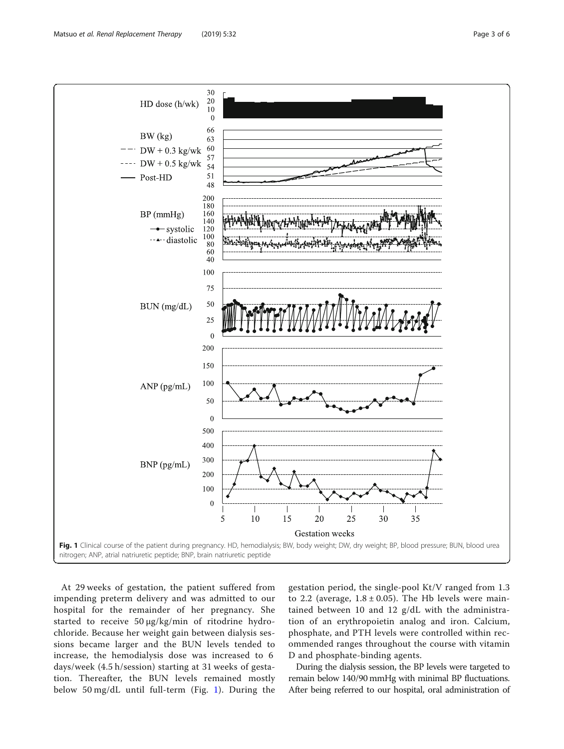<span id="page-2-0"></span>

At 29 weeks of gestation, the patient suffered from impending preterm delivery and was admitted to our hospital for the remainder of her pregnancy. She started to receive 50 μg/kg/min of ritodrine hydrochloride. Because her weight gain between dialysis sessions became larger and the BUN levels tended to increase, the hemodialysis dose was increased to 6 days/week (4.5 h/session) starting at 31 weeks of gestation. Thereafter, the BUN levels remained mostly below 50 mg/dL until full-term (Fig. 1). During the

gestation period, the single-pool Kt/V ranged from 1.3 to 2.2 (average,  $1.8 \pm 0.05$ ). The Hb levels were maintained between 10 and 12 g/dL with the administration of an erythropoietin analog and iron. Calcium, phosphate, and PTH levels were controlled within recommended ranges throughout the course with vitamin D and phosphate-binding agents.

During the dialysis session, the BP levels were targeted to remain below 140/90 mmHg with minimal BP fluctuations. After being referred to our hospital, oral administration of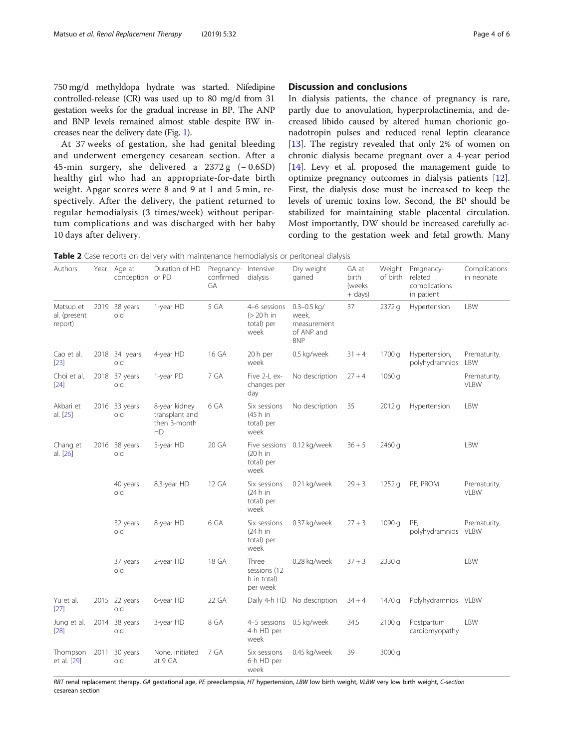<span id="page-3-0"></span>750 mg/d methyldopa hydrate was started. Nifedipine controlled-release (CR) was used up to 80 mg/d from 31 gestation weeks for the gradual increase in BP. The ANP and BNP levels remained almost stable despite BW increases near the delivery date (Fig. [1\)](#page-2-0).

At 37 weeks of gestation, she had genital bleeding and underwent emergency cesarean section. After a 45-min surgery, she delivered a 2372 g (− 0.6SD) healthy girl who had an appropriate-for-date birth weight. Apgar scores were 8 and 9 at 1 and 5 min, respectively. After the delivery, the patient returned to regular hemodialysis (3 times/week) without peripartum complications and was discharged with her baby 10 days after delivery.

## Discussion and conclusions

In dialysis patients, the chance of pregnancy is rare, partly due to anovulation, hyperprolactinemia, and decreased libido caused by altered human chorionic gonadotropin pulses and reduced renal leptin clearance [[13\]](#page-5-0). The registry revealed that only 2% of women on chronic dialysis became pregnant over a 4-year period [[14\]](#page-5-0). Levy et al. proposed the management guide to optimize pregnancy outcomes in dialysis patients [\[12](#page-5-0)]. First, the dialysis dose must be increased to keep the levels of uremic toxins low. Second, the BP should be stabilized for maintaining stable placental circulation. Most importantly, DW should be increased carefully according to the gestation week and fetal growth. Many

Table 2 Case reports on delivery with maintenance hemodialysis or peritoneal dialysis

| Authors                              |      | Year Age at<br>conception or PD | Duration of HD                                        | Pregnancy- Intensive<br>confirmed<br>GA | dialysis                                         | Dry weight<br>gained                                                | GA at<br>birth<br>(weeks<br>$+$ days) | of birth | Weight Pregnancy-<br>related<br>complications<br>in patient | Complications<br>in neonate |
|--------------------------------------|------|---------------------------------|-------------------------------------------------------|-----------------------------------------|--------------------------------------------------|---------------------------------------------------------------------|---------------------------------------|----------|-------------------------------------------------------------|-----------------------------|
| Matsuo et<br>al. (present<br>report) |      | 2019 38 years<br>old            | 1-year HD                                             | 5 GA                                    | 4-6 sessions<br>(> 20 h in<br>total) per<br>week | $0.3 - 0.5$ kg/<br>week,<br>measurement<br>of ANP and<br><b>BNP</b> | 37                                    | 2372 g   | Hypertension                                                | LBW                         |
| Cao et al.<br>$[23]$                 |      | 2018 34 years<br>old            | 4-year HD                                             | 16 GA                                   | 20 h per<br>week                                 | 0.5 kg/week                                                         | $31 + 4$                              | 1700q    | Hypertension,<br>polyhydramnios                             | Prematurity,<br>LBW         |
| Choi et al.<br>$[24]$                |      | 2018 37 years<br>old            | 1-year PD                                             | 7 GA                                    | Five 2-L ex-<br>changes per<br>day               | No description                                                      | $27 + 4$                              | 1060 g   |                                                             | Prematurity,<br><b>VLBW</b> |
| Akbari et<br>al. [25]                |      | 2016 33 years<br>old            | 8-year kidney<br>transplant and<br>then 3-month<br>HD | 6 GA                                    | Six sessions<br>(45 h in<br>total) per<br>week   | No description                                                      | 35                                    | 2012q    | Hypertension                                                | <b>LBW</b>                  |
| Chang et<br>al. [26]                 |      | 2016 38 years<br>old            | 5-year HD                                             | 20 GA                                   | (20 h)<br>total) per<br>week                     | Five sessions 0.12 kg/week                                          | $36 + 5$                              | 2460 g   |                                                             | LBW                         |
|                                      |      | 40 years<br>old                 | 8.3-year HD                                           | 12 GA                                   | Six sessions<br>(24 h in<br>total) per<br>week   | 0.21 kg/week                                                        | $29 + 3$                              | 1252q    | PE, PROM                                                    | Prematurity,<br><b>VLBW</b> |
|                                      |      | 32 years<br>old                 | 8-year HD                                             | 6 GA                                    | Six sessions<br>(24 h in<br>total) per<br>week   | 0.37 kg/week                                                        | $27 + 3$                              | 1090 g   | PE,<br>polyhydramnios VLBW                                  | Prematurity,                |
|                                      |      | 37 years<br>old                 | 2-year HD                                             | 18 GA                                   | Three<br>sessions (12<br>h in total)<br>per week | 0.28 kg/week                                                        | $37 + 3$                              | 2330q    |                                                             | <b>LBW</b>                  |
| Yu et al.<br>[27]                    |      | 2015 22 years<br>old            | 6-year HD                                             | 22 GA                                   |                                                  | Daily 4-h HD No description                                         | $34 + 4$                              | 1470q    | Polyhydramnios VLBW                                         |                             |
| Jung et al.<br>$[28]$                |      | 2014 38 years<br>old            | 3-year HD                                             | 8 GA                                    | 4-5 sessions<br>4-h HD per<br>week               | 0.5 kg/week                                                         | 34.5                                  | 2100 g   | Postpartum<br>cardiomyopathy                                | LBW                         |
| Thompson<br>et al. [29]              | 2011 | 30 years<br>old                 | None, initiated<br>at 9 GA                            | 7 GA                                    | Six sessions<br>6-h HD per<br>week               | 0.45 kg/week                                                        | 39                                    | 3000 g   |                                                             |                             |

RRT renal replacement therapy, GA gestational age, PE preeclampsia, HT hypertension, LBW low birth weight, VLBW very low birth weight, C-section cesarean section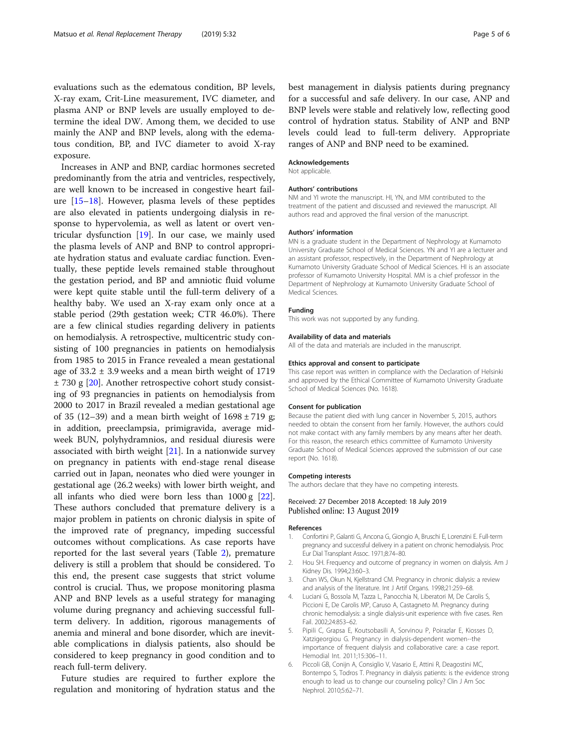<span id="page-4-0"></span>evaluations such as the edematous condition, BP levels, X-ray exam, Crit-Line measurement, IVC diameter, and plasma ANP or BNP levels are usually employed to determine the ideal DW. Among them, we decided to use mainly the ANP and BNP levels, along with the edematous condition, BP, and IVC diameter to avoid X-ray exposure.

Increases in ANP and BNP, cardiac hormones secreted predominantly from the atria and ventricles, respectively, are well known to be increased in congestive heart failure [\[15](#page-5-0)–[18\]](#page-5-0). However, plasma levels of these peptides are also elevated in patients undergoing dialysis in response to hypervolemia, as well as latent or overt ventricular dysfunction [[19\]](#page-5-0). In our case, we mainly used the plasma levels of ANP and BNP to control appropriate hydration status and evaluate cardiac function. Eventually, these peptide levels remained stable throughout the gestation period, and BP and amniotic fluid volume were kept quite stable until the full-term delivery of a healthy baby. We used an X-ray exam only once at a stable period (29th gestation week; CTR 46.0%). There are a few clinical studies regarding delivery in patients on hemodialysis. A retrospective, multicentric study consisting of 100 pregnancies in patients on hemodialysis from 1985 to 2015 in France revealed a mean gestational age of  $33.2 \pm 3.9$  weeks and a mean birth weight of 1719 ± 730 g [[20\]](#page-5-0). Another retrospective cohort study consisting of 93 pregnancies in patients on hemodialysis from 2000 to 2017 in Brazil revealed a median gestational age of 35 (12–39) and a mean birth weight of  $1698 \pm 719$  g; in addition, preeclampsia, primigravida, average midweek BUN, polyhydramnios, and residual diuresis were associated with birth weight [\[21](#page-5-0)]. In a nationwide survey on pregnancy in patients with end-stage renal disease carried out in Japan, neonates who died were younger in gestational age (26.2 weeks) with lower birth weight, and all infants who died were born less than 1000 g [\[22](#page-5-0)]. These authors concluded that premature delivery is a major problem in patients on chronic dialysis in spite of the improved rate of pregnancy, impeding successful outcomes without complications. As case reports have reported for the last several years (Table [2\)](#page-3-0), premature delivery is still a problem that should be considered. To this end, the present case suggests that strict volume control is crucial. Thus, we propose monitoring plasma ANP and BNP levels as a useful strategy for managing volume during pregnancy and achieving successful fullterm delivery. In addition, rigorous managements of anemia and mineral and bone disorder, which are inevitable complications in dialysis patients, also should be considered to keep pregnancy in good condition and to reach full-term delivery.

Future studies are required to further explore the regulation and monitoring of hydration status and the best management in dialysis patients during pregnancy for a successful and safe delivery. In our case, ANP and BNP levels were stable and relatively low, reflecting good control of hydration status. Stability of ANP and BNP levels could lead to full-term delivery. Appropriate ranges of ANP and BNP need to be examined.

#### Acknowledgements

Not applicable.

#### Authors' contributions

NM and YI wrote the manuscript. HI, YN, and MM contributed to the treatment of the patient and discussed and reviewed the manuscript. All authors read and approved the final version of the manuscript.

#### Authors' information

MN is a graduate student in the Department of Nephrology at Kumamoto University Graduate School of Medical Sciences. YN and YI are a lecturer and an assistant professor, respectively, in the Department of Nephrology at Kumamoto University Graduate School of Medical Sciences. HI is an associate professor of Kumamoto University Hospital. MM is a chief professor in the Department of Nephrology at Kumamoto University Graduate School of Medical Sciences.

#### Funding

This work was not supported by any funding.

#### Availability of data and materials

All of the data and materials are included in the manuscript.

#### Ethics approval and consent to participate

This case report was written in compliance with the Declaration of Helsinki and approved by the Ethical Committee of Kumamoto University Graduate School of Medical Sciences (No. 1618).

#### Consent for publication

Because the patient died with lung cancer in November 5, 2015, authors needed to obtain the consent from her family. However, the authors could not make contact with any family members by any means after her death. For this reason, the research ethics committee of Kumamoto University Graduate School of Medical Sciences approved the submission of our case report (No. 1618).

#### Competing interests

The authors declare that they have no competing interests.

### Received: 27 December 2018 Accepted: 18 July 2019 Published online: 13 August 2019

#### References

- 1. Confortini P, Galanti G, Ancona G, Giongio A, Bruschi E, Lorenzini E. Full-term pregnancy and successful delivery in a patient on chronic hemodialysis. Proc Eur Dial Transplant Assoc. 1971;8:74–80.
- 2. Hou SH. Frequency and outcome of pregnancy in women on dialysis. Am J Kidney Dis. 1994;23:60–3.
- 3. Chan WS, Okun N, Kjellstrand CM. Pregnancy in chronic dialysis: a review and analysis of the literature. Int J Artif Organs. 1998;21:259–68.
- 4. Luciani G, Bossola M, Tazza L, Panocchia N, Liberatori M, De Carolis S, Piccioni E, De Carolis MP, Caruso A, Castagneto M. Pregnancy during chronic hemodialysis: a single dialysis-unit experience with five cases. Ren Fail. 2002;24:853–62.
- 5. Pipili C, Grapsa E, Koutsobasili A, Sorvinou P, Poirazlar E, Kiosses D, Xatzigeorgiou G. Pregnancy in dialysis-dependent women--the importance of frequent dialysis and collaborative care: a case report. Hemodial Int. 2011;15:306–11.
- 6. Piccoli GB, Conijn A, Consiglio V, Vasario E, Attini R, Deagostini MC, Bontempo S, Todros T. Pregnancy in dialysis patients: is the evidence strong enough to lead us to change our counseling policy? Clin J Am Soc Nephrol. 2010;5:62–71.